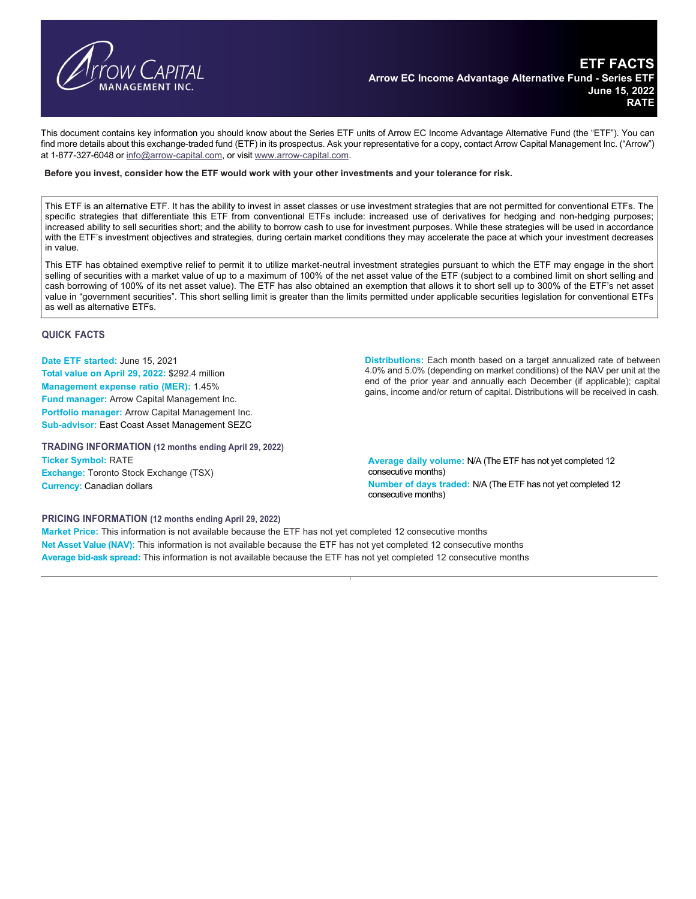

This document contains key information you should know about the Series ETF units of Arrow EC Income Advantage Alternative Fund (the "ETF"). You can find more details about this exchange-traded fund (ETF) in its prospectus. Ask your representative for a copy, contact Arrow Capital Management Inc. ("Arrow") at 1-877-327-6048 or info@arrow-capital.com, or visit www.arrow-capital.com.

#### **Before you invest, consider how the ETF would work with your other investments and your tolerance for risk.**

This ETF is an alternative ETF. It has the ability to invest in asset classes or use investment strategies that are not permitted for conventional ETFs. The specific strategies that differentiate this ETF from conventional ETFs include: increased use of derivatives for hedging and non-hedging purposes; increased ability to sell securities short; and the ability to borrow cash to use for investment purposes. While these strategies will be used in accordance with the ETF's investment objectives and strategies, during certain market conditions they may accelerate the pace at which your investment decreases in value.

This ETF has obtained exemptive relief to permit it to utilize market-neutral investment strategies pursuant to which the ETF may engage in the short selling of securities with a market value of up to a maximum of 100% of the net asset value of the ETF (subject to a combined limit on short selling and cash borrowing of 100% of its net asset value). The ETF has also obtained an exemption that allows it to short sell up to 300% of the ETF's net asset value in "government securities". This short selling limit is greater than the limits permitted under applicable securities legislation for conventional ETFs as well as alternative ETFs.

## **QUICK FACTS**

**Date ETF started:** June 15, 2021 **Total value on April 29, 2022:** \$292.4 million **Management expense ratio (MER):** 1.45% **Fund manager:** Arrow Capital Management Inc. **Portfolio manager:** Arrow Capital Management Inc. **Sub-advisor:** East Coast Asset Management SEZC

**TRADING INFORMATION (12 months ending April 29, 2022)** 

**Ticker Symbol:** RATE **Exchange:** Toronto Stock Exchange (TSX) **Currency:** Canadian dollars

**Distributions:** Each month based on a target annualized rate of between 4.0% and 5.0% (depending on market conditions) of the NAV per unit at the end of the prior year and annually each December (if applicable); capital gains, income and/or return of capital. Distributions will be received in cash.

**Average daily volume:** N/A (The ETF has not yet completed 12 consecutive months) **Number of days traded:** N/A (The ETF has not yet completed 12 consecutive months)

### **PRICING INFORMATION (12 months ending April 29, 2022)**

**Market Price:** This information is not available because the ETF has not yet completed 12 consecutive months **Net Asset Value (NAV):** This information is not available because the ETF has not yet completed 12 consecutive months **Average bid-ask spread:** This information is not available because the ETF has not yet completed 12 consecutive months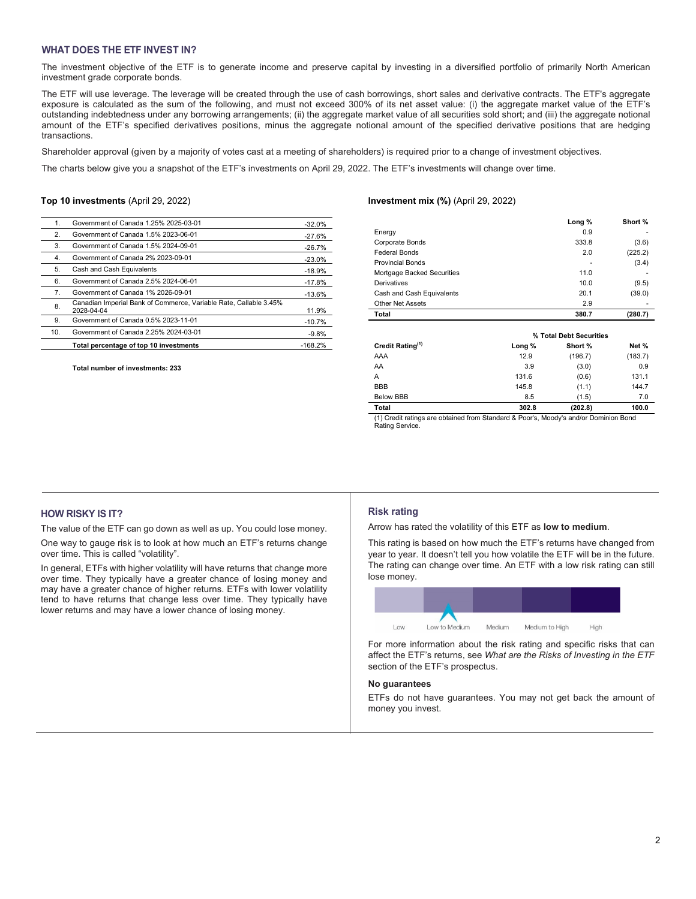# **WHAT DOES THE ETF INVEST IN?**

The investment objective of the ETF is to generate income and preserve capital by investing in a diversified portfolio of primarily North American investment grade corporate bonds.

The ETF will use leverage. The leverage will be created through the use of cash borrowings, short sales and derivative contracts. The ETF's aggregate exposure is calculated as the sum of the following, and must not exceed 300% of its net asset value: (i) the aggregate market value of the ETF's outstanding indebtedness under any borrowing arrangements; (ii) the aggregate market value of all securities sold short; and (iii) the aggregate notional amount of the ETF's specified derivatives positions, minus the aggregate notional amount of the specified derivative positions that are hedging transactions.

Shareholder approval (given by a majority of votes cast at a meeting of shareholders) is required prior to a change of investment objectives.

The charts below give you a snapshot of the ETF's investments on April 29, 2022. The ETF's investments will change over time.

#### **Top 10 investments** (April 29, 2022)

| 1.  | Government of Canada 1.25% 2025-03-01                                           | $-32.0%$  |
|-----|---------------------------------------------------------------------------------|-----------|
| 2.  | Government of Canada 1.5% 2023-06-01                                            | $-27.6%$  |
| 3.  | Government of Canada 1.5% 2024-09-01                                            | $-26.7%$  |
| 4.  | Government of Canada 2% 2023-09-01                                              | $-23.0%$  |
| 5.  | Cash and Cash Equivalents                                                       | $-18.9%$  |
| 6.  | Government of Canada 2.5% 2024-06-01                                            | $-17.8%$  |
| 7.  | Government of Canada 1% 2026-09-01                                              | $-13.6%$  |
| 8.  | Canadian Imperial Bank of Commerce, Variable Rate, Callable 3.45%<br>2028-04-04 | 11.9%     |
| 9.  | Government of Canada 0.5% 2023-11-01                                            | $-10.7%$  |
| 10. | Government of Canada 2.25% 2024-03-01                                           | $-9.8%$   |
|     | Total percentage of top 10 investments                                          | $-168.2%$ |

**Total number of investments: 233** 

### **Investment mix (%)** (April 29, 2022)

|                            | Long % | Short % |
|----------------------------|--------|---------|
| Energy                     | 0.9    |         |
| Corporate Bonds            | 333.8  | (3.6)   |
| <b>Federal Bonds</b>       | 2.0    | (225.2) |
| <b>Provincial Bonds</b>    |        | (3.4)   |
| Mortgage Backed Securities | 11.0   |         |
| Derivatives                | 10.0   | (9.5)   |
| Cash and Cash Equivalents  | 20.1   | (39.0)  |
| <b>Other Net Assets</b>    | 2.9    |         |
| <b>Total</b>               | 380.7  | (280.7) |
|                            |        |         |

|                              | % Total Debt Securities |         |         |
|------------------------------|-------------------------|---------|---------|
| Credit Rating <sup>(1)</sup> | Long %                  | Short % | Net %   |
| AAA                          | 12.9                    | (196.7) | (183.7) |
| AA                           | 3.9                     | (3.0)   | 0.9     |
| A                            | 131.6                   | (0.6)   | 131.1   |
| <b>BBB</b>                   | 145.8                   | (1.1)   | 144.7   |
| <b>Below BBB</b>             | 8.5                     | (1.5)   | 7.0     |
| Total                        | 302.8                   | (202.8) | 100.0   |

(1) Credit ratings are obtained from Standard & Poor's, Moody's and/or Dominion Bond Rating Service.

# **HOW RISKY IS IT?**

The value of the ETF can go down as well as up. You could lose money.

One way to gauge risk is to look at how much an ETF's returns change over time. This is called "volatility".

In general, ETFs with higher volatility will have returns that change more over time. They typically have a greater chance of losing money and may have a greater chance of higher returns. ETFs with lower volatility tend to have returns that change less over time. They typically have lower returns and may have a lower chance of losing money.

#### **Risk rating**

Arrow has rated the volatility of this ETF as **low to medium**.

This rating is based on how much the ETF's returns have changed from year to year. It doesn't tell you how volatile the ETF will be in the future. The rating can change over time. An ETF with a low risk rating can still lose money.



For more information about the risk rating and specific risks that can affect the ETF's returns, see *What are the Risks of Investing in the ETF* section of the ETF's prospectus.

# **No guarantees**

ETFs do not have guarantees. You may not get back the amount of money you invest.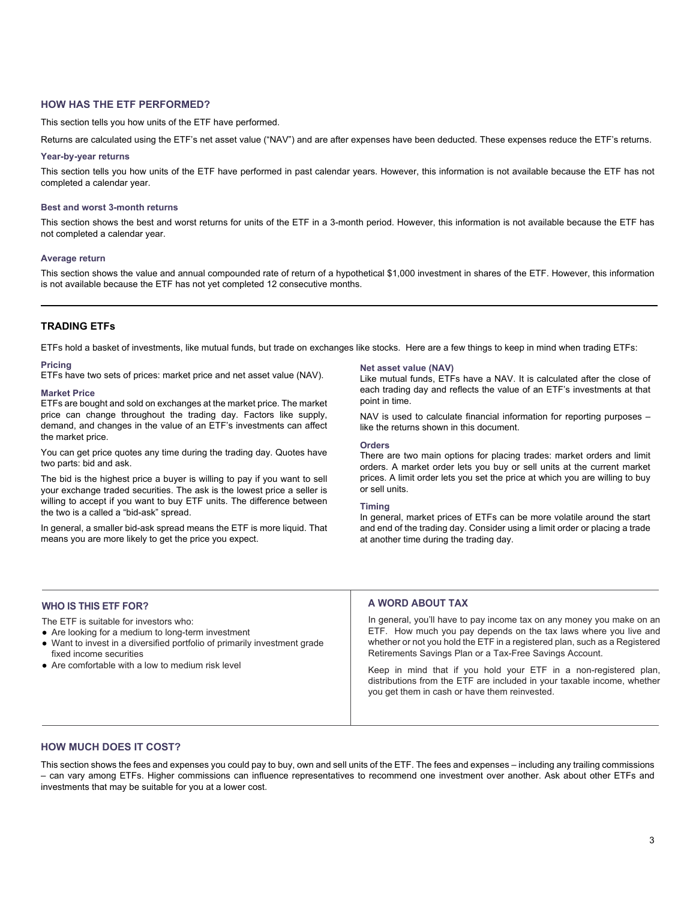# **HOW HAS THE ETF PERFORMED?**

This section tells you how units of the ETF have performed.

Returns are calculated using the ETF's net asset value ("NAV") and are after expenses have been deducted. These expenses reduce the ETF's returns.

#### **Year-by-year returns**

This section tells you how units of the ETF have performed in past calendar years. However, this information is not available because the ETF has not completed a calendar year.

#### **Best and worst 3-month returns**

This section shows the best and worst returns for units of the ETF in a 3-month period. However, this information is not available because the ETF has not completed a calendar year.

#### **Average return**

This section shows the value and annual compounded rate of return of a hypothetical \$1,000 investment in shares of the ETF. However, this information is not available because the ETF has not yet completed 12 consecutive months.

# **TRADING ETFs**

ETFs hold a basket of investments, like mutual funds, but trade on exchanges like stocks. Here are a few things to keep in mind when trading ETFs:

#### **Pricing**

ETFs have two sets of prices: market price and net asset value (NAV).

#### **Market Price**

ETFs are bought and sold on exchanges at the market price. The market price can change throughout the trading day. Factors like supply, demand, and changes in the value of an ETF's investments can affect the market price.

You can get price quotes any time during the trading day. Quotes have two parts: bid and ask.

The bid is the highest price a buyer is willing to pay if you want to sell your exchange traded securities. The ask is the lowest price a seller is willing to accept if you want to buy ETF units. The difference between the two is a called a "bid-ask" spread.

In general, a smaller bid-ask spread means the ETF is more liquid. That means you are more likely to get the price you expect.

#### **Net asset value (NAV)**

Like mutual funds, ETFs have a NAV. It is calculated after the close of each trading day and reflects the value of an ETF's investments at that point in time.

NAV is used to calculate financial information for reporting purposes – like the returns shown in this document.

#### **Orders**

There are two main options for placing trades: market orders and limit orders. A market order lets you buy or sell units at the current market prices. A limit order lets you set the price at which you are willing to buy or sell units.

#### **Timing**

In general, market prices of ETFs can be more volatile around the start and end of the trading day. Consider using a limit order or placing a trade at another time during the trading day.

# **WHO IS THIS ETF FOR?**

The ETF is suitable for investors who:

- Are looking for a medium to long-term investment
- Want to invest in a diversified portfolio of primarily investment grade fixed income securities
- Are comfortable with a low to medium risk level

### **A WORD ABOUT TAX**

In general, you'll have to pay income tax on any money you make on an ETF. How much you pay depends on the tax laws where you live and whether or not you hold the ETF in a registered plan, such as a Registered Retirements Savings Plan or a Tax-Free Savings Account.

Keep in mind that if you hold your ETF in a non-registered plan, distributions from the ETF are included in your taxable income, whether you get them in cash or have them reinvested.

## **HOW MUCH DOES IT COST?**

This section shows the fees and expenses you could pay to buy, own and sell units of the ETF. The fees and expenses – including any trailing commissions – can vary among ETFs. Higher commissions can influence representatives to recommend one investment over another. Ask about other ETFs and investments that may be suitable for you at a lower cost.